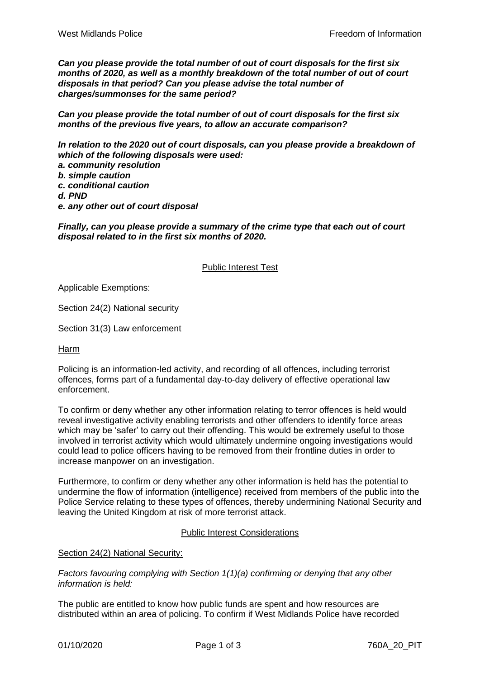*Can you please provide the total number of out of court disposals for the first six months of 2020, as well as a monthly breakdown of the total number of out of court disposals in that period? Can you please advise the total number of charges/summonses for the same period?*

*Can you please provide the total number of out of court disposals for the first six months of the previous five years, to allow an accurate comparison?* 

*In relation to the 2020 out of court disposals, can you please provide a breakdown of which of the following disposals were used:*

- *a. community resolution*
- *b. simple caution*
- *c. conditional caution*
- *d. PND*
- *e. any other out of court disposal*

*Finally, can you please provide a summary of the crime type that each out of court disposal related to in the first six months of 2020.*

## Public Interest Test

Applicable Exemptions:

Section 24(2) National security

Section 31(3) Law enforcement

Harm

Policing is an information-led activity, and recording of all offences, including terrorist offences, forms part of a fundamental day-to-day delivery of effective operational law enforcement.

To confirm or deny whether any other information relating to terror offences is held would reveal investigative activity enabling terrorists and other offenders to identify force areas which may be 'safer' to carry out their offending. This would be extremely useful to those involved in terrorist activity which would ultimately undermine ongoing investigations would could lead to police officers having to be removed from their frontline duties in order to increase manpower on an investigation.

Furthermore, to confirm or deny whether any other information is held has the potential to undermine the flow of information (intelligence) received from members of the public into the Police Service relating to these types of offences, thereby undermining National Security and leaving the United Kingdom at risk of more terrorist attack.

### Public Interest Considerations

Section 24(2) National Security:

*Factors favouring complying with Section 1(1)(a) confirming or denying that any other information is held:*

The public are entitled to know how public funds are spent and how resources are distributed within an area of policing. To confirm if West Midlands Police have recorded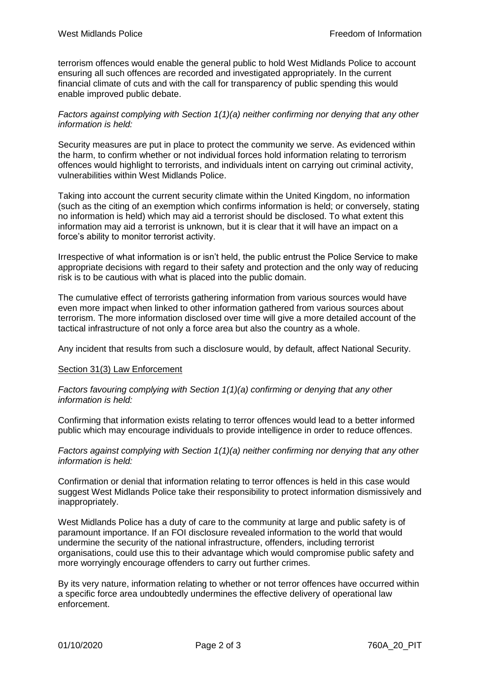terrorism offences would enable the general public to hold West Midlands Police to account ensuring all such offences are recorded and investigated appropriately. In the current financial climate of cuts and with the call for transparency of public spending this would enable improved public debate.

## *Factors against complying with Section 1(1)(a) neither confirming nor denying that any other information is held:*

Security measures are put in place to protect the community we serve. As evidenced within the harm, to confirm whether or not individual forces hold information relating to terrorism offences would highlight to terrorists, and individuals intent on carrying out criminal activity, vulnerabilities within West Midlands Police.

Taking into account the current security climate within the United Kingdom, no information (such as the citing of an exemption which confirms information is held; or conversely, stating no information is held) which may aid a terrorist should be disclosed. To what extent this information may aid a terrorist is unknown, but it is clear that it will have an impact on a force's ability to monitor terrorist activity.

Irrespective of what information is or isn't held, the public entrust the Police Service to make appropriate decisions with regard to their safety and protection and the only way of reducing risk is to be cautious with what is placed into the public domain.

The cumulative effect of terrorists gathering information from various sources would have even more impact when linked to other information gathered from various sources about terrorism. The more information disclosed over time will give a more detailed account of the tactical infrastructure of not only a force area but also the country as a whole.

Any incident that results from such a disclosure would, by default, affect National Security.

### Section 31(3) Law Enforcement

*Factors favouring complying with Section 1(1)(a) confirming or denying that any other information is held:*

Confirming that information exists relating to terror offences would lead to a better informed public which may encourage individuals to provide intelligence in order to reduce offences.

*Factors against complying with Section 1(1)(a) neither confirming nor denying that any other information is held:*

Confirmation or denial that information relating to terror offences is held in this case would suggest West Midlands Police take their responsibility to protect information dismissively and inappropriately.

West Midlands Police has a duty of care to the community at large and public safety is of paramount importance. If an FOI disclosure revealed information to the world that would undermine the security of the national infrastructure, offenders, including terrorist organisations, could use this to their advantage which would compromise public safety and more worryingly encourage offenders to carry out further crimes.

By its very nature, information relating to whether or not terror offences have occurred within a specific force area undoubtedly undermines the effective delivery of operational law enforcement.